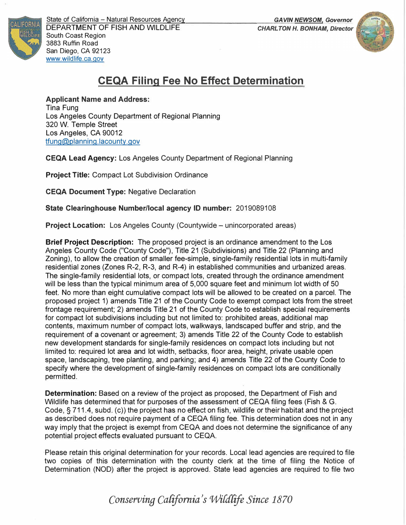





State of California - Natural Resources Agency DEPARTMENT OF FISH AND WILDLIFE South Coast Region 3883 Ruffin Road San Diego, CA 92123 www.wildlife.ca.gov

**IFORNIA** 

## **CEQA Filing Fee No Effect Determination**

**Applicant Name and Address:**  Tina Fung Los Angeles County Department of Regional Planning 320 W. Temple Street Los Angeles, CA 90012 tfung@planning.lacounty.gov

**CEQA Lead Agency:** Los Angeles County Department of Regional Planning

**Project Title:** Compact Lot Subdivision Ordinance

**CEQA Document Type:** Negative Declaration

**State Clearinghouse Number/local agency ID number:** 2019089108

**Project Location:** Los Angeles County (Countywide – unincorporated areas)

**Brief Project Description:** The proposed project is an ordinance amendment to the Los Angeles County Code ("County Code"), Title 21 (Subdivisions) and Title 22 (Planning and Zoning), to allow the creation of smaller fee-simple, single-family residential lots in multi-family residential zones (Zones R-2, R-3, and R-4) in established communities and urbanized areas. The single-family residential lots, or compact lots, created through the ordinance amendment will be less than the typical minimum area of 5,000 square feet and minimum lot width of 50 feet. No more than eight cumulative compact lots will be allowed to be created on a parcel. The proposed project 1) amends Title 21 of the County Code to exempt compact lots from the street frontage requirement; 2) amends Title 21 of the County Code to establish special requirements for compact lot subdivisions including but not limited to: prohibited areas, additional map contents, maximum number of compact lots, walkways, landscaped buffer and strip, and the requirement of a covenant or agreement; 3) amends Title 22 of the County Code to establish new development standards for single-family residences on compact lots including but not limited to: required lot area and lot width, setbacks, floor area, height, private usable open space, landscaping, tree planting, and parking; and 4) amends Title 22 of the County Code to specify where the development of single-family residences on compact lots are conditionally permitted.

**Determination:** Based on a review of the project as proposed, the Department of Fish and Wildlife has determined that for purposes of the assessment of CEQA filing fees (Fish & G. Code, § 711.4, subd. (c)) the project has no effect on fish, wildlife or their habitat and the project as described does not require payment of a CEQA filing fee. This determination does not in any way imply that the project is exempt from CEQA and does not determine the significance of any potential project effects evaluated pursuant to CEQA.

Please retain this original determination for your records. Local lead agencies are required to file two copies of this determination with the county clerk at the time of filing the Notice of Determination (NOD) after the project is approved. State lead agencies are required to file two

*Conserving Ca{ifornia's WiU{ife Since 1870*